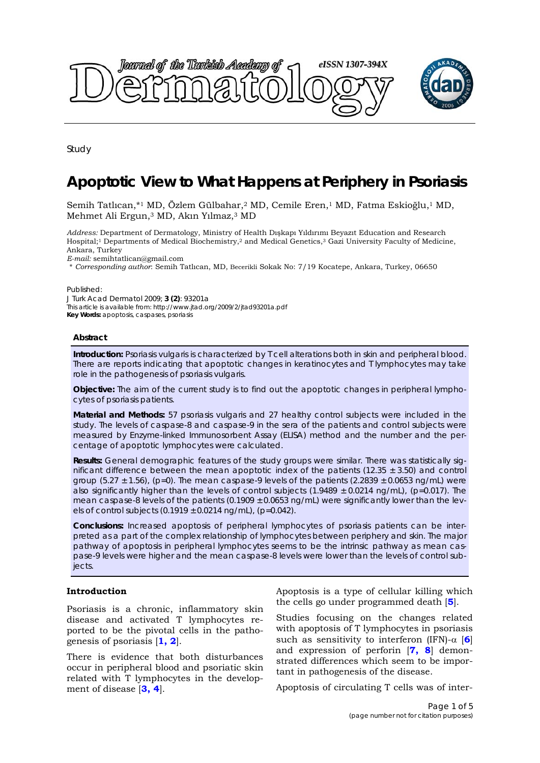

Study

# **Apoptotic View to What Happens at Periphery in Psoriasis**

Semih Tatlıcan,\*1 MD, Özlem Gülbahar,<sup>2</sup> MD, Cemile Eren,<sup>1</sup> MD, Fatma Eskioğlu,<sup>1</sup> MD, Mehmet Ali Ergun,3 MD, Akın Yılmaz,3 MD

*Address:* Department of Dermatology, Ministry of Health Dışkapı Yıldırımı Beyazıt Education and Research Hospital;1 Departments of Medical Biochemistry,2 and Medical Genetics,3 Gazi University Faculty of Medicine, Ankara, Turkey

*E-mail:* semihtatlican@gmail.com

\* *Corresponding author*: Semih Tatlıcan, MD, Becerikli Sokak No: 7/19 Kocatepe, Ankara, Turkey, 06650

Published:

*J Turk Acad Dermatol* 2009; **3 (2)**: 93201a This article is available from: http://www.jtad.org/2009/2/jtad93201a.pdf **Key Words:** apoptosis, caspases, psoriasis

# **Abstract**

**Introduction:** Psoriasis vulgaris is characterized by T cell alterations both in skin and peripheral blood. There are reports indicating that apoptotic changes in keratinocytes and T lymphocytes may take role in the pathogenesis of psoriasis vulgaris.

**Objective:** The aim of the current study is to find out the apoptotic changes in peripheral lymphocytes of psoriasis patients.

**Material and Methods:** 57 psoriasis vulgaris and 27 healthy control subjects were included in the study. The levels of caspase-8 and caspase-9 in the sera of the patients and control subjects were measured by Enzyme-linked Immunosorbent Assay (ELISA) method and the number and the percentage of apoptotic lymphocytes were calculated.

**Results:** General demographic features of the study groups were similar. There was statistically significant difference between the mean apoptotic index of the patients (12.35  $\pm$  3.50) and control group (5.27  $\pm$  1.56), (p=0). The mean caspase-9 levels of the patients (2.2839  $\pm$  0.0653 ng/mL) were also significantly higher than the levels of control subjects (1.9489  $\pm$  0.0214 ng/mL), (p=0.017). The mean caspase-8 levels of the patients  $(0.1909 \pm 0.0653 \text{ ng/mL})$  were significantly lower than the levels of control subjects  $(0.1919 \pm 0.0214 \text{ ng/mL})$ ,  $(p=0.042)$ .

**Conclusions:** Increased apoptosis of peripheral lymphocytes of psoriasis patients can be interpreted as a part of the complex relationship of lymphocytes between periphery and skin. The major pathway of apoptosis in peripheral lymphocytes seems to be the intrinsic pathway as mean caspase-9 levels were higher and the mean caspase-8 levels were lower than the levels of control subjects.

# **Introduction**

Psoriasis is a chronic, inflammatory skin disease and activated T lymphocytes reported to be the pivotal cells in the pathogenesis of psoriasis [**1, 2**].

There is evidence that both disturbances occur in peripheral blood and psoriatic skin related with T lymphocytes in the development of disease [**3, 4**].

Apoptosis is a type of cellular killing which the cells go under programmed death [**5**].

Studies focusing on the changes related with apoptosis of T lymphocytes in psoriasis such as sensitivity to interferon (IFN)- $\alpha$  [6] and expression of perforin [**7, 8**] demonstrated differences which seem to be important in pathogenesis of the disease.

Apoptosis of circulating T cells was of inter-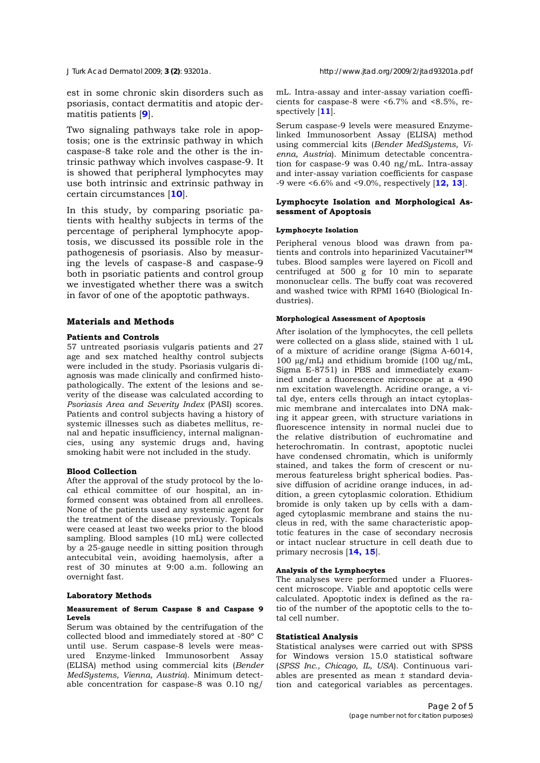est in some chronic skin disorders such as psoriasis, contact dermatitis and atopic dermatitis patients [**9**].

Two signaling pathways take role in apoptosis; one is the extrinsic pathway in which caspase-8 take role and the other is the intrinsic pathway which involves caspase-9. It is showed that peripheral lymphocytes may use both intrinsic and extrinsic pathway in certain circumstances [**10**].

In this study, by comparing psoriatic patients with healthy subjects in terms of the percentage of peripheral lymphocyte apoptosis, we discussed its possible role in the pathogenesis of psoriasis. Also by measuring the levels of caspase-8 and caspase-9 both in psoriatic patients and control group we investigated whether there was a switch in favor of one of the apoptotic pathways.

# **Materials and Methods**

### **Patients and Controls**

57 untreated psoriasis vulgaris patients and 27 age and sex matched healthy control subjects were included in the study. Psoriasis vulgaris diagnosis was made clinically and confirmed histopathologically. The extent of the lesions and severity of the disease was calculated according to *Psoriasis Area and Severity Index* (PASI) scores. Patients and control subjects having a history of systemic illnesses such as diabetes mellitus, renal and hepatic insufficiency, internal malignancies, using any systemic drugs and, having smoking habit were not included in the study.

### **Blood Collection**

After the approval of the study protocol by the local ethical committee of our hospital, an informed consent was obtained from all enrollees. None of the patients used any systemic agent for the treatment of the disease previously. Topicals were ceased at least two weeks prior to the blood sampling. Blood samples (10 mL) were collected by a 25-gauge needle in sitting position through antecubital vein, avoiding haemolysis, after a rest of 30 minutes at 9:00 a.m. following an overnight fast.

# **Laboratory Methods**

#### **Measurement of Serum Caspase 8 and Caspase 9 Levels**

Serum was obtained by the centrifugation of the collected blood and immediately stored at -80º C until use. Serum caspase-8 levels were measured Enzyme-linked Immunosorbent Assay (ELISA) method using commercial kits (*Bender MedSystems, Vienna, Austria*). Minimum detectable concentration for caspase-8 was 0.10 ng/

mL. Intra-assay and inter-assay variation coefficients for caspase-8 were <6.7% and <8.5%, respectively [**11**].

Serum caspase-9 levels were measured Enzymelinked Immunosorbent Assay (ELISA) method using commercial kits (*Bender MedSystems, Vienna, Austria*). Minimum detectable concentration for caspase-9 was 0.40 ng/mL. Intra-assay and inter-assay variation coefficients for caspase -9 were <6.6% and <9.0%, respectively [**12, 13**].

# **Lymphocyte Isolation and Morphological Assessment of Apoptosis**

#### **Lymphocyte Isolation**

Peripheral venous blood was drawn from patients and controls into heparinized Vacutainer™ tubes. Blood samples were layered on Ficoll and centrifuged at 500 g for 10 min to separate mononuclear cells. The buffy coat was recovered and washed twice with RPMI 1640 (Biological Industries).

### **Morphological Assessment of Apoptosis**

After isolation of the lymphocytes, the cell pellets were collected on a glass slide, stained with 1 uL of a mixture of acridine orange (Sigma A-6014, 100 µg/mL) and ethidium bromide (100 ug/mL, Sigma E-8751) in PBS and immediately examined under a fluorescence microscope at a 490 nm excitation wavelength. Acridine orange, a vital dye, enters cells through an intact cytoplasmic membrane and intercalates into DNA making it appear green, with structure variations in fluorescence intensity in normal nuclei due to the relative distribution of euchromatine and heterochromatin. In contrast, apoptotic nuclei have condensed chromatin, which is uniformly stained, and takes the form of crescent or numerous featureless bright spherical bodies. Passive diffusion of acridine orange induces, in addition, a green cytoplasmic coloration. Ethidium bromide is only taken up by cells with a damaged cytoplasmic membrane and stains the nucleus in red, with the same characteristic apoptotic features in the case of secondary necrosis or intact nuclear structure in cell death due to primary necrosis [**14, 15**].

# **Analysis of the Lymphocytes**

The analyses were performed under a Fluorescent microscope. Viable and apoptotic cells were calculated. Apoptotic index is defined as the ratio of the number of the apoptotic cells to the total cell number.

### **Statistical Analysis**

Statistical analyses were carried out with SPSS for Windows version 15.0 statistical software (*SPSS Inc., Chicago, IL, USA*). Continuous variables are presented as mean ± standard deviation and categorical variables as percentages.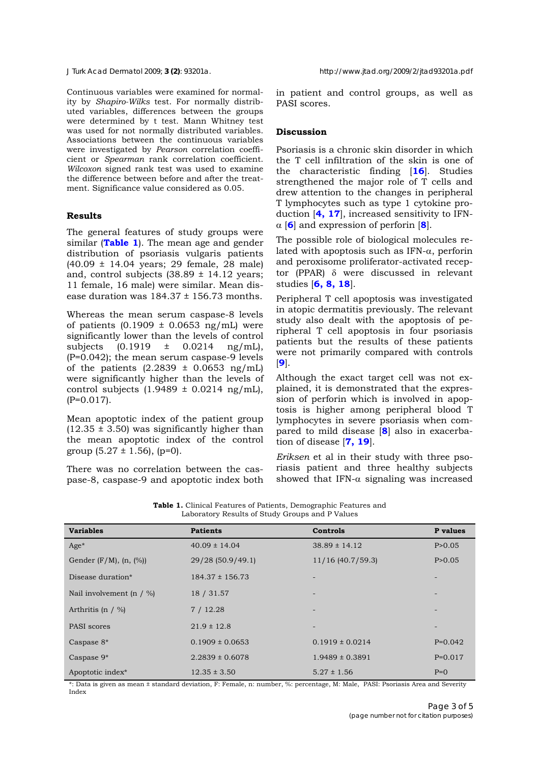Continuous variables were examined for normality by *Shapiro-Wilks* test. For normally distributed variables, differences between the groups were determined by t test. Mann Whitney test was used for not normally distributed variables. Associations between the continuous variables were investigated by *Pearson* correlation coefficient or *Spearman* rank correlation coefficient. *Wilcoxon* signed rank test was used to examine the difference between before and after the treatment. Significance value considered as 0.05.

# **Results**

The general features of study groups were similar (**Table 1**). The mean age and gender distribution of psoriasis vulgaris patients (40.09 ± 14.04 years; 29 female, 28 male) and, control subjects  $(38.89 \pm 14.12 \text{ years})$ 11 female, 16 male) were similar. Mean disease duration was  $184.37 \pm 156.73$  months.

Whereas the mean serum caspase-8 levels of patients  $(0.1909 \pm 0.0653 \text{ ng/mL})$  were significantly lower than the levels of control subjects  $(0.1919 \pm 0.0214 \text{ ng/mL})$ , (P=0.042); the mean serum caspase-9 levels of the patients  $(2.2839 \pm 0.0653 \text{ ng/mL})$ were significantly higher than the levels of control subjects  $(1.9489 \pm 0.0214 \text{ ng/mL})$ , (P=0.017).

Mean apoptotic index of the patient group  $(12.35 \pm 3.50)$  was significantly higher than the mean apoptotic index of the control group  $(5.27 \pm 1.56)$ ,  $(p=0)$ .

There was no correlation between the caspase-8, caspase-9 and apoptotic index both in patient and control groups, as well as PASI scores.

#### **Discussion**

Psoriasis is a chronic skin disorder in which the T cell infiltration of the skin is one of the characteristic finding [**16**]. Studies strengthened the major role of T cells and drew attention to the changes in peripheral T lymphocytes such as type 1 cytokine production [**4, 17**], increased sensitivity to IFN-  $\alpha$  **[6**] and expression of perforin [8].

The possible role of biological molecules related with apoptosis such as IFN- $\alpha$ , perforin and peroxisome proliferator-activated receptor (PPAR)  $\delta$  were discussed in relevant studies [**6, 8, 18**].

Peripheral T cell apoptosis was investigated in atopic dermatitis previously. The relevant study also dealt with the apoptosis of peripheral T cell apoptosis in four psoriasis patients but the results of these patients were not primarily compared with controls [**9**].

Although the exact target cell was not explained, it is demonstrated that the expression of perforin which is involved in apoptosis is higher among peripheral blood T lymphocytes in severe psoriasis when compared to mild disease [**8**] also in exacerbation of disease [**7, 19**].

*Eriksen* et al in their study with three psoriasis patient and three healthy subjects showed that IFN- $\alpha$  signaling was increased

**Table 1.** Clinical Features of Patients, Demographic Features and Laboratory Results of Study Groups and P Values

| <b>Variables</b>                    | <b>Patients</b>     | Controls                 | P values                 |
|-------------------------------------|---------------------|--------------------------|--------------------------|
| $Age*$                              | $40.09 \pm 14.04$   | $38.89 \pm 14.12$        | P > 0.05                 |
| Gender $(F/M)$ , $(n, \frac{1}{6})$ | 29/28 (50.9/49.1)   | $11/16$ (40.7/59.3)      | P > 0.05                 |
| Disease duration*                   | $184.37 \pm 156.73$ |                          |                          |
| Nail involvement (n $/$ %)          | 18 / 31.57          |                          |                          |
| Arthritis (n $/$ %)                 | 7/12.28             |                          |                          |
| PASI scores                         | $21.9 \pm 12.8$     | $\overline{\phantom{a}}$ | $\overline{\phantom{0}}$ |
| Caspase 8*                          | $0.1909 \pm 0.0653$ | $0.1919 \pm 0.0214$      | $P=0.042$                |
| Caspase $9*$                        | $2.2839 \pm 0.6078$ | $1.9489 \pm 0.3891$      | $P=0.017$                |
| Apoptotic index <sup>*</sup>        | $12.35 \pm 3.50$    | $5.27 \pm 1.56$          | $P=0$                    |

\*: Data is given as mean ± standard deviation, F: Female, n: number, %: percentage, M: Male, PASI: Psoriasis Area and Severity Index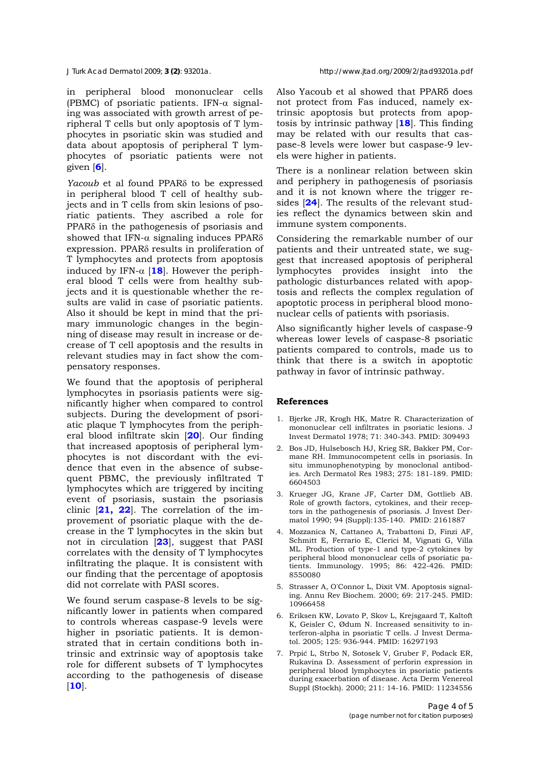in peripheral blood mononuclear cells (PBMC) of psoriatic patients. IFN- $\alpha$  signaling was associated with growth arrest of peripheral T cells but only apoptosis of T lymphocytes in psoriatic skin was studied and data about apoptosis of peripheral T lymphocytes of psoriatic patients were not given [**6**].

*Yacoub* et al found PPAR<sub>8</sub> to be expressed in peripheral blood T cell of healthy subjects and in T cells from skin lesions of psoriatic patients. They ascribed a role for  $PPAR\delta$  in the pathogenesis of psoriasis and showed that IFN- $\alpha$  signaling induces PPAR $\delta$ expression. PPAR $\delta$  results in proliferation of T lymphocytes and protects from apoptosis induced by IFN- $\alpha$  [18]. However the peripheral blood T cells were from healthy subjects and it is questionable whether the results are valid in case of psoriatic patients. Also it should be kept in mind that the primary immunologic changes in the beginning of disease may result in increase or decrease of T cell apoptosis and the results in relevant studies may in fact show the compensatory responses.

We found that the apoptosis of peripheral lymphocytes in psoriasis patients were significantly higher when compared to control subjects. During the development of psoriatic plaque T lymphocytes from the peripheral blood infiltrate skin [**20**]. Our finding that increased apoptosis of peripheral lymphocytes is not discordant with the evidence that even in the absence of subsequent PBMC, the previously infiltrated T lymphocytes which are triggered by inciting event of psoriasis, sustain the psoriasis clinic [**21, 22**]. The correlation of the improvement of psoriatic plaque with the decrease in the T lymphocytes in the skin but not in circulation [**23**], suggest that PASI correlates with the density of T lymphocytes infiltrating the plaque. It is consistent with our finding that the percentage of apoptosis did not correlate with PASI scores.

We found serum caspase-8 levels to be significantly lower in patients when compared to controls whereas caspase-9 levels were higher in psoriatic patients. It is demonstrated that in certain conditions both intrinsic and extrinsic way of apoptosis take role for different subsets of T lymphocytes according to the pathogenesis of disease [**10**].

Also Yacoub et al showed that PPARδ does not protect from Fas induced, namely extrinsic apoptosis but protects from apoptosis by intrinsic pathway [**18**]. This finding may be related with our results that caspase-8 levels were lower but caspase-9 levels were higher in patients.

There is a nonlinear relation between skin and periphery in pathogenesis of psoriasis and it is not known where the trigger resides [**24**]. The results of the relevant studies reflect the dynamics between skin and immune system components.

Considering the remarkable number of our patients and their untreated state, we suggest that increased apoptosis of peripheral lymphocytes provides insight into the pathologic disturbances related with apoptosis and reflects the complex regulation of apoptotic process in peripheral blood mononuclear cells of patients with psoriasis.

Also significantly higher levels of caspase-9 whereas lower levels of caspase-8 psoriatic patients compared to controls, made us to think that there is a switch in apoptotic pathway in favor of intrinsic pathway.

# **References**

- 1. Bjerke JR, Krogh HK, Matre R. Characterization of mononuclear cell infiltrates in psoriatic lesions. J Invest Dermatol 1978; 71: 340-343. PMID: 309493
- 2. Bos JD, Hulsebosch HJ, Krieg SR, Bakker PM, Cormane RH. Immunocompetent cells in psoriasis. In situ immunophenotyping by monoclonal antibodies. Arch Dermatol Res 1983; 275: 181-189. PMID: 6604503
- 3. Krueger JG, Krane JF, Carter DM, Gottlieb AB. Role of growth factors, cytokines, and their receptors in the pathogenesis of psoriasis. J Invest Dermatol 1990; 94 (Suppl):135-140. PMID: 2161887
- 4. Mozzanica N, Cattaneo A, Trabattoni D, Finzi AF, Schmitt E, Ferrario E, Clerici M, Vignati G, Villa ML. Production of type-1 and type-2 cytokines by peripheral blood mononuclear cells of psoriatic patients. Immunology. 1995; 86: 422-426. PMID: 8550080
- 5. Strasser A, O'Connor L, Dixit VM. Apoptosis signaling. Annu Rev Biochem. 2000; 69: 217-245. PMID: 10966458
- 6. Eriksen KW, Lovato P, Skov L, Krejsgaard T, Kaltoft K, Geisler C, Ødum N. Increased sensitivity to interferon-alpha in psoriatic T cells. J Invest Dermatol. 2005; 125: 936-944. PMID: 16297193
- 7. Prpić L, Strbo N, Sotosek V, Gruber F, Podack ER, Rukavina D. Assessment of perforin expression in peripheral blood lymphocytes in psoriatic patients during exacerbation of disease. Acta Derm Venereol Suppl (Stockh). 2000; 211: 14-16. PMID: 11234556